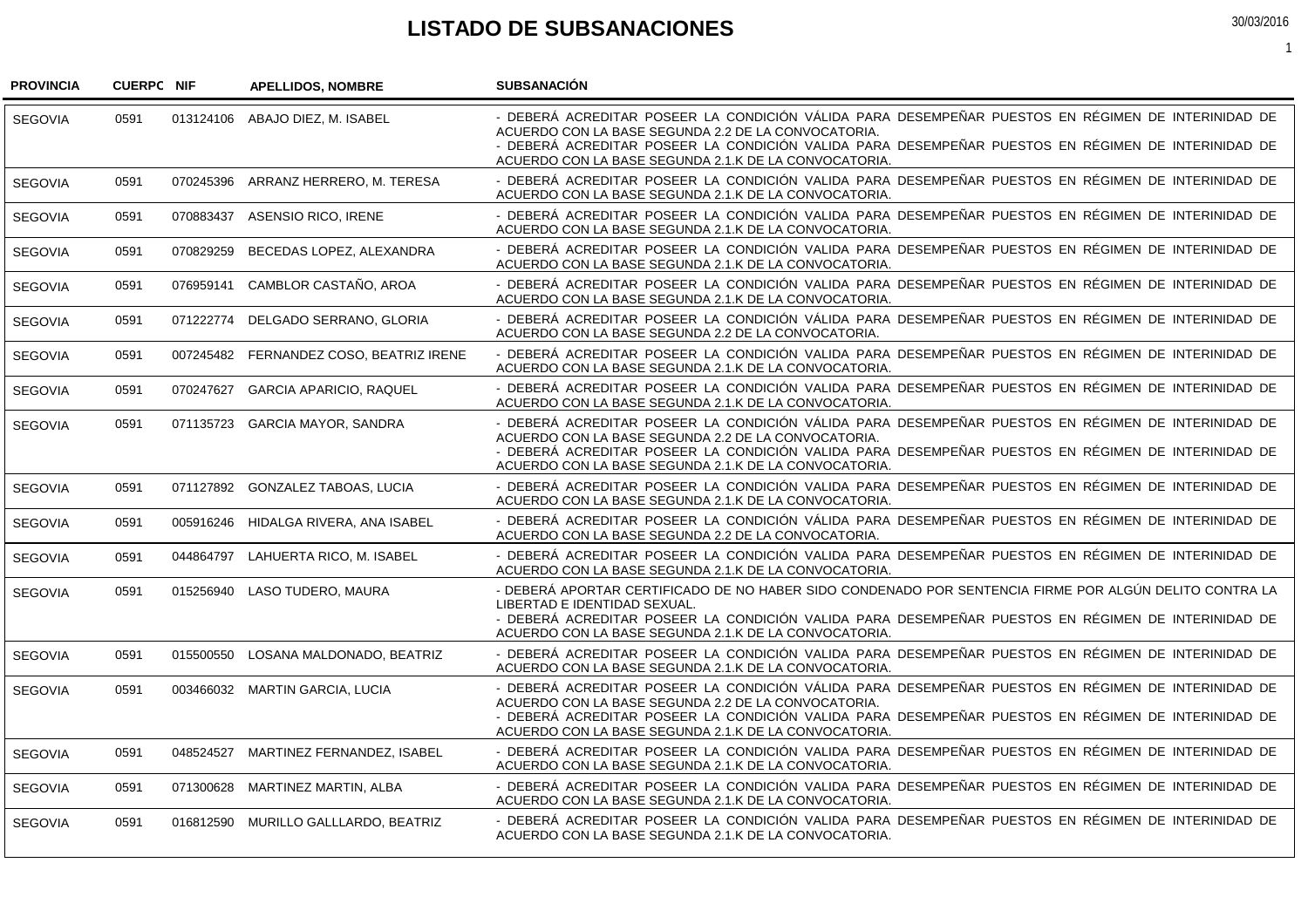## **LISTADO DE SUBSANACIONES**

1

| <b>PROVINCIA</b> | <b>CUERPC NIF</b> |           | <b>APELLIDOS, NOMBRE</b>                | <b>SUBSANACION</b>                                                                                                                                                                                                                                                                                                       |
|------------------|-------------------|-----------|-----------------------------------------|--------------------------------------------------------------------------------------------------------------------------------------------------------------------------------------------------------------------------------------------------------------------------------------------------------------------------|
| <b>SEGOVIA</b>   | 0591              |           | 013124106 ABAJO DIEZ, M. ISABEL         | - DEBERÁ ACREDITAR POSEER LA CONDICIÓN VÁLIDA PARA DESEMPEÑAR PUESTOS EN RÉGIMEN DE INTERINIDAD DE<br>ACUERDO CON LA BASE SEGUNDA 2.2 DE LA CONVOCATORIA.<br>- DEBERÁ ACREDITAR POSEER LA CONDICIÓN VALIDA PARA DESEMPEÑAR PUESTOS EN RÉGIMEN DE INTERINIDAD DE<br>ACUERDO CON LA BASE SEGUNDA 2.1.K DE LA CONVOCATORIA. |
| <b>SEGOVIA</b>   | 0591              |           | 070245396 ARRANZ HERRERO, M. TERESA     | - DEBERÁ ACREDITAR POSEER LA CONDICIÓN VALIDA PARA DESEMPEÑAR PUESTOS EN RÉGIMEN DE INTERINIDAD DE<br>ACUERDO CON LA BASE SEGUNDA 2.1.K DE LA CONVOCATORIA.                                                                                                                                                              |
| <b>SEGOVIA</b>   | 0591              |           | 070883437 ASENSIO RICO, IRENE           | - DEBERÁ ACREDITAR POSEER LA CONDICIÓN VALIDA PARA DESEMPEÑAR PUESTOS EN RÉGIMEN DE INTERINIDAD DE<br>ACUERDO CON LA BASE SEGUNDA 2.1.K DE LA CONVOCATORIA.                                                                                                                                                              |
| <b>SEGOVIA</b>   | 0591              | 070829259 | BECEDAS LOPEZ, ALEXANDRA                | - DEBERÁ ACREDITAR POSEER LA CONDICIÓN VALIDA PARA DESEMPEÑAR PUESTOS EN RÉGIMEN DE INTERINIDAD DE<br>ACUERDO CON LA BASE SEGUNDA 2.1.K DE LA CONVOCATORIA.                                                                                                                                                              |
| <b>SEGOVIA</b>   | 0591              | 076959141 | CAMBLOR CASTAÑO, AROA                   | - DEBERÁ ACREDITAR POSEER LA CONDICIÓN VALIDA PARA DESEMPEÑAR PUESTOS EN RÉGIMEN DE INTERINIDAD DE<br>ACUERDO CON LA BASE SEGUNDA 2.1.K DE LA CONVOCATORIA.                                                                                                                                                              |
| <b>SEGOVIA</b>   | 0591              |           | 071222774 DELGADO SERRANO, GLORIA       | - DEBERÁ ACREDITAR POSEER LA CONDICIÓN VÁLIDA PARA DESEMPEÑAR PUESTOS EN RÉGIMEN DE INTERINIDAD DE<br>ACUERDO CON LA BASE SEGUNDA 2.2 DE LA CONVOCATORIA.                                                                                                                                                                |
| <b>SEGOVIA</b>   | 0591              |           | 007245482 FERNANDEZ COSO, BEATRIZ IRENE | - DEBERÁ ACREDITAR POSEER LA CONDICIÓN VALIDA PARA DESEMPEÑAR PUESTOS EN RÉGIMEN DE INTERINIDAD DE<br>ACUERDO CON LA BASE SEGUNDA 2.1.K DE LA CONVOCATORIA.                                                                                                                                                              |
| <b>SEGOVIA</b>   | 0591              | 070247627 | <b>GARCIA APARICIO, RAQUEL</b>          | - DEBERÁ ACREDITAR POSEER LA CONDICIÓN VALIDA PARA DESEMPEÑAR PUESTOS EN RÉGIMEN DE INTERINIDAD DE<br>ACUERDO CON LA BASE SEGUNDA 2.1.K DE LA CONVOCATORIA.                                                                                                                                                              |
| <b>SEGOVIA</b>   | 0591              |           | 071135723 GARCIA MAYOR, SANDRA          | - DEBERÁ ACREDITAR POSEER LA CONDICIÓN VÁLIDA PARA DESEMPEÑAR PUESTOS EN RÉGIMEN DE INTERINIDAD DE<br>ACUERDO CON LA BASE SEGUNDA 2.2 DE LA CONVOCATORIA.<br>- DEBERÁ ACREDITAR POSEER LA CONDICIÓN VALIDA PARA DESEMPEÑAR PUESTOS EN RÉGIMEN DE INTERINIDAD DE<br>ACUERDO CON LA BASE SEGUNDA 2.1.K DE LA CONVOCATORIA. |
| SEGOVIA          | 0591              |           | 071127892 GONZALEZ TABOAS, LUCIA        | - DEBERÁ ACREDITAR POSEER LA CONDICIÓN VALIDA PARA DESEMPEÑAR PUESTOS EN RÉGIMEN DE INTERINIDAD DE<br>ACUERDO CON LA BASE SEGUNDA 2.1.K DE LA CONVOCATORIA.                                                                                                                                                              |
| SEGOVIA          | 0591              |           | 005916246 HIDALGA RIVERA, ANA ISABEL    | - DEBERÁ ACREDITAR POSEER LA CONDICIÓN VÁLIDA PARA DESEMPEÑAR PUESTOS EN RÉGIMEN DE INTERINIDAD DE<br>ACUERDO CON LA BASE SEGUNDA 2.2 DE LA CONVOCATORIA.                                                                                                                                                                |
| <b>SEGOVIA</b>   | 0591              |           | 044864797 LAHUERTA RICO, M. ISABEL      | - DEBERÁ ACREDITAR POSEER LA CONDICIÓN VALIDA PARA DESEMPEÑAR PUESTOS EN RÉGIMEN DE INTERINIDAD DE<br>ACUERDO CON LA BASE SEGUNDA 2.1.K DE LA CONVOCATORIA.                                                                                                                                                              |
| SEGOVIA          | 0591              |           | 015256940 LASO TUDERO, MAURA            | - DEBERÁ APORTAR CERTIFICADO DE NO HABER SIDO CONDENADO POR SENTENCIA FIRME POR ALGÚN DELITO CONTRA LA<br>LIBERTAD E IDENTIDAD SEXUAL.<br>- DEBERÁ ACREDITAR POSEER LA CONDICIÓN VALIDA PARA DESEMPEÑAR PUESTOS EN RÉGIMEN DE INTERINIDAD DE<br>ACUERDO CON LA BASE SEGUNDA 2.1.K DE LA CONVOCATORIA.                    |
| <b>SEGOVIA</b>   | 0591              |           | 015500550 LOSANA MALDONADO, BEATRIZ     | - DEBERÁ ACREDITAR POSEER LA CONDICIÓN VALIDA PARA DESEMPEÑAR PUESTOS EN RÉGIMEN DE INTERINIDAD DE<br>ACUERDO CON LA BASE SEGUNDA 2.1.K DE LA CONVOCATORIA.                                                                                                                                                              |
| <b>SEGOVIA</b>   | 0591              |           | 003466032 MARTIN GARCIA, LUCIA          | - DEBERÁ ACREDITAR POSEER LA CONDICIÓN VÁLIDA PARA DESEMPEÑAR PUESTOS EN RÉGIMEN DE INTERINIDAD DE<br>ACUERDO CON LA BASE SEGUNDA 2.2 DE LA CONVOCATORIA.<br>- DEBERÁ ACREDITAR POSEER LA CONDICIÓN VALIDA PARA DESEMPEÑAR PUESTOS EN RÉGIMEN DE INTERINIDAD DE<br>ACUERDO CON LA BASE SEGUNDA 2.1.K DE LA CONVOCATORIA. |
| <b>SEGOVIA</b>   | 0591              |           | 048524527 MARTINEZ FERNANDEZ, ISABEL    | - DEBERÁ ACREDITAR POSEER LA CONDICIÓN VALIDA PARA DESEMPEÑAR PUESTOS EN RÉGIMEN DE INTERINIDAD DE<br>ACUERDO CON LA BASE SEGUNDA 2.1.K DE LA CONVOCATORIA.                                                                                                                                                              |
| <b>SEGOVIA</b>   | 0591              |           | 071300628 MARTINEZ MARTIN, ALBA         | - DEBERÁ ACREDITAR POSEER LA CONDICIÓN VALIDA PARA DESEMPEÑAR PUESTOS EN RÉGIMEN DE INTERINIDAD DE<br>ACUERDO CON LA BASE SEGUNDA 2.1.K DE LA CONVOCATORIA.                                                                                                                                                              |
| <b>SEGOVIA</b>   | 0591              |           | 016812590 MURILLO GALLLARDO, BEATRIZ    | - DEBERÁ ACREDITAR POSEER LA CONDICIÓN VALIDA PARA DESEMPEÑAR PUESTOS EN RÉGIMEN DE INTERINIDAD DE<br>ACUERDO CON LA BASE SEGUNDA 2.1.K DE LA CONVOCATORIA.                                                                                                                                                              |